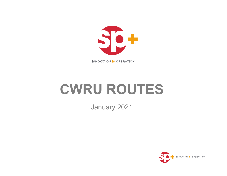

**INNOVATION IN OPERATION®** 

# **CWRU ROUTES**

January 2021

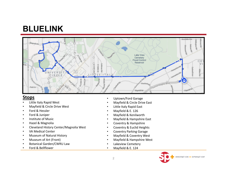## **BLUELINK**



- •• Little Italy Rapid West
- •Mayfield & Circle Drive West
- •Ford & Hessler
- •Ford & Juniper
- •• Institute of Music
- •• Hazel & Magnolia
- •Cleveland History Center/Magnolia West
- •VA Medical Center
- •Museum of Natural History
- •Museum of Art (Front)
- •Botanical Garden/CWRU Law
- •Ford & Bellflower
- •Uptown/Ford Garage
- •Mayfield & Circle Drive East
- •Little Italy Rapid East
- •Mayfield & E. 126
- •Mayfield & Kenilworth
- •Mayfield & Hampshire East
- •Coventry & Hampshire
- •Coventry & Euclid Heights
- •Coventry Parking Garage
- •Mayfield & Coventry West
- •Mayfield & Hampshire West
- •Lakeview Cemetery
- •Mayfield & E. 124

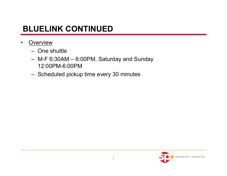### **BLUELINK CONTINUED**

- •**Overview** 
	- One shuttle
	- M-F 6:30AM 6:00PM, Saturday and Sunday 12:00PM-6:00PM
	- Scheduled pickup time every 30 minutes

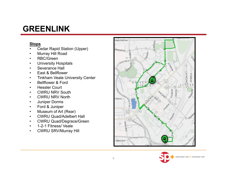### **GREENLINK**

- •Cedar Rapid Station (Upper)
- •Murray Hill Road
- •RBC/Green
- •University Hospitals
- •Severance Hall
- •East & Bellflower
- •Tinkham Veale University Center
- •Bellflower & Ford
- •Hessler Court
- •CWRU NRV South
- •CWRU NRV North
- •Juniper Dorms
- •Ford & Juniper
- •Museum of Art (Rear)
- •CWRU Quad/Adelbert Hall
- •CWRU Quad/Degrace/Green
- •1-2-1 Fitness/ Veale
- •CWRU SRV/Murray Hill



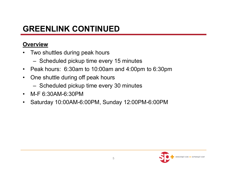## **GREENLINK CONTINUED**

### **Overview**

- $\bullet$  Two shuttles during peak hours
	- Scheduled pickup time every 15 minutes
- $\bullet$ Peak hours: 6:30am to 10:00am and 4:00pm to 6:30pm
- $\bullet$  One shuttle during off peak hours
	- Scheduled pickup time every 30 minutes
- $\bullet$ M-F 6:30AM-6:30PM
- $\bullet$ Saturday 10:00AM-6:00PM, Sunday 12:00PM-6:00PM

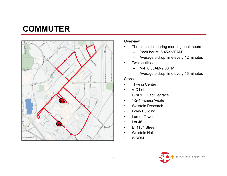# **COMMUTER**



#### Overview

- • Three shuttles during morning peak hours
	- Peak hours: 6:45-9:30AM
	- Average pickup time every 12 minutes
- • Two shuttles
	- –M-F 6:00AM-9:00PM
	- –Average pickup time every 16 minutes

- •Thwing Center
- •VIC Lot
- •CWRU Quad/Degrace
- •1-2-1 Fitness/Veale
- •Wolstein Research
- •Foley Building
- •Lerner Tower
- •Lot 46
- •E. 115<sup>th</sup> Street
- •Wolstein Hall
- •WSOM

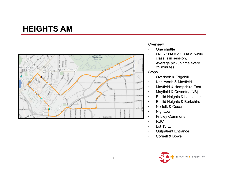### **HEIGHTS AM**



#### Overview

- •One shuttle
- • M-F 7:00AM-11:00AM, while class is in session,
- • Average pickup time every 25 minutes

- •Overlook & Edgehill
- •Kenilworth & Mayfield
- •Mayfield & Hampshire East
- •Mayfield & Coventry (NB)
- •Euclid Heights & Lancaster
- •Euclid Heights & Berkshire
- •Norfolk & Cedar
- •Nighttown
- •Fribley Commons
- •RBC
- •Lot 13 E.
- •Outpatient Entrance
- •Cornell & Bowell

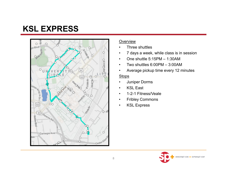# **KSL EXPRESS**



#### Overview

- •Three shuttles
- •7 days a week, while class is in session
- •One shuttle 5:15PM – 1:30AM
- •Two shuttles 6:00PM – 3:00AM
- •Average pickup time every 12 minutes

- •Juniper Dorms
- •KSL East
- •1-2-1 Fitness/Veale
- •Fribley Commons
- •KSL Express

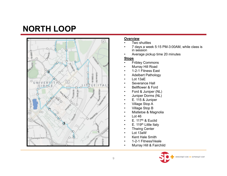# **NORTH LOOP**



#### **Overview**

- •Two shuttles
- • 7 days a week 5:15 PM-3:00AM, while class is in session
- •Average pickup time 20 minutes

- •Fribley Commons
- •Murray Hill Road
- •1-2-1 Fitness East
- •Adelbert Pathology
- •Lot 13aE
- •Severance Hall
- •Bellflower & Ford
- •Ford & Juniper (NL)
- •Juniper Dorms (NL)
- •E. 115 & Juniper
- •Village Stop A
- •Village Stop B
- •Mistletoe & Magnolia
- •Lot 46
- •E. 117<sup>th</sup> & Euclid
- •E. 119<sup>th</sup> Little Italy
- •Thwing Center
- •Lot 13aW
- •Kent Hale Smith
- •1-2-1 Fitness/Veale
- •Murray Hill & Fairchild

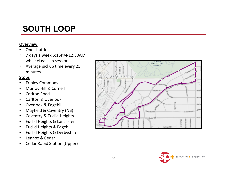# **SOUTH LOOP**

#### **Overview**

- •One shuttle
- • 7 days a week 5:15PM‐12:30AM, while class is in session
- • Average pickup time every 25 minutes

- •Fribley Commons
- •Murray Hill & Cornell
- •Carlton Road
- •Carlton& Overlook
- •Overlook & Edgehill
- •Mayfield & Coventry (NB)
- •Coventry & Euclid Heights
- •• Euclid Heights & Lancaster
- •• Euclid Heights & Edgehill
- •• Euclid Heights & Derbyshire
- •Lennox& Cedar
- •Cedar Rapid Station (Upper)



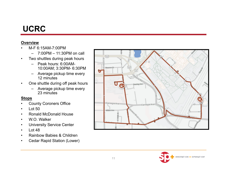# **UCRC**

#### **Overview**

- • M-F 6:15AM-7:00PM
	- –7:00PM – 11:30PM on call
- $\bullet$  Two shuttles during peak hours
	- Peak hours: 6:00AM-10:00AM; 3:30PM- 6:30PM
	- – Average pickup time every 12 minutes
- • One shuttle during off peak hours
	- – Average pickup time every 23 minutes

- •County Coroners Office
- $\bullet$ Lot 50
- •Ronald McDonald House
- •W.O. Walker
- $\bullet$ University Service Center
- •Lot 48
- •Rainbow Babies & Children
- •Cedar Rapid Station (Lower)